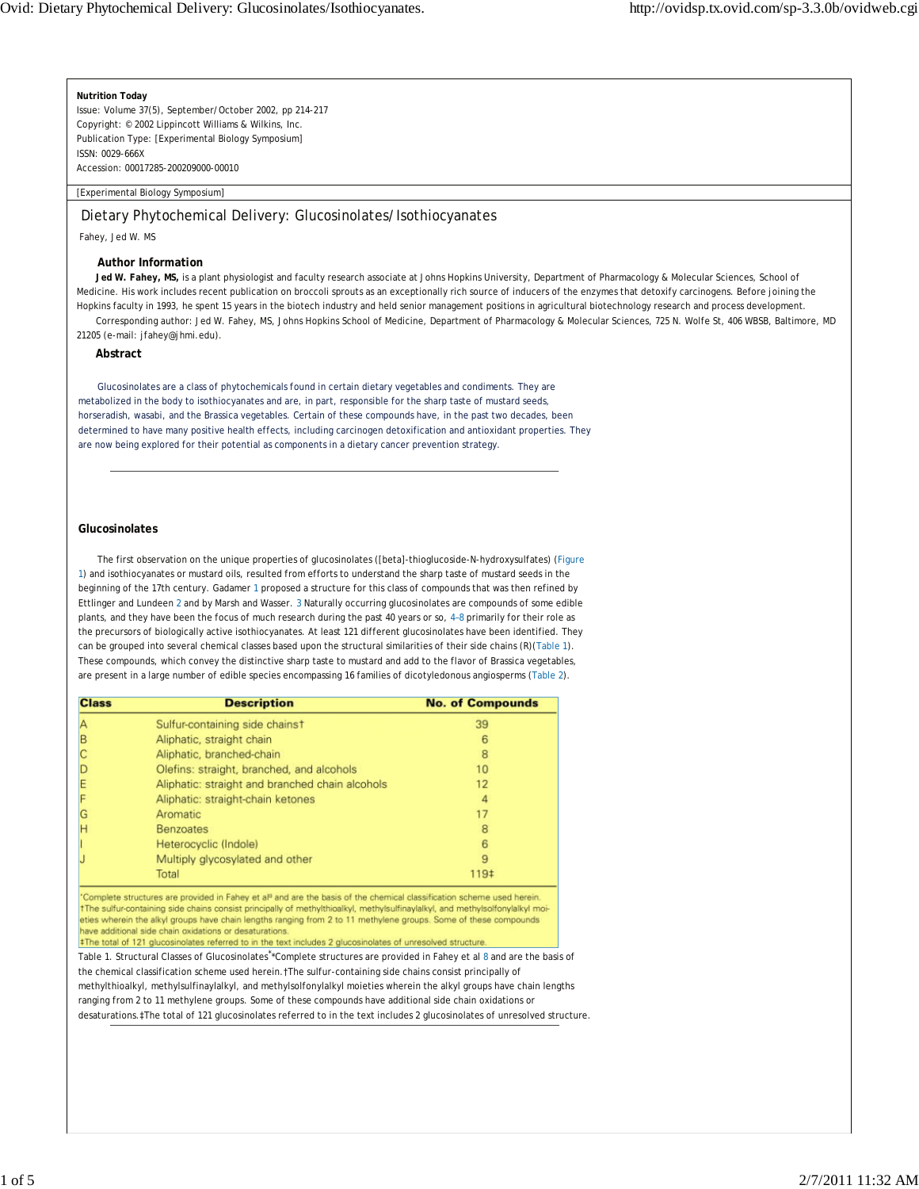**Nutrition Today** Issue: Volume 37(5), September/October 2002, pp 214-217

Copyright: © 2002 Lippincott Williams & Wilkins, Inc. Publication Type: [Experimental Biology Symposium] ISSN: 0029-666X

Accession: 00017285-200209000-00010

### [Experimental Biology Symposium]

# Dietary Phytochemical Delivery: Glucosinolates/Isothiocyanates

Fahey, Jed W. MS

#### **Author Information**

**Jed W. Fahey, MS,** is a plant physiologist and faculty research associate at Johns Hopkins University, Department of Pharmacology & Molecular Sciences, School of Medicine. His work includes recent publication on broccoli sprouts as an exceptionally rich source of inducers of the enzymes that detoxify carcinogens. Before joining the Hopkins faculty in 1993, he spent 15 years in the biotech industry and held senior management positions in agricultural biotechnology research and process development. Corresponding author: Jed W. Fahey, MS, Johns Hopkins School of Medicine, Department of Pharmacology & Molecular Sciences, 725 N. Wolfe St, 406 WBSB, Baltimore, MD

21205 (e-mail: jfahey@jhmi.edu).

## **Abstract**

Glucosinolates are a class of phytochemicals found in certain dietary vegetables and condiments. They are metabolized in the body to isothiocyanates and are, in part, responsible for the sharp taste of mustard seeds, horseradish, wasabi, and the Brassica vegetables. Certain of these compounds have, in the past two decades, been determined to have many positive health effects, including carcinogen detoxification and antioxidant properties. They are now being explored for their potential as components in a dietary cancer prevention strategy.

## **Glucosinolates**

The first observation on the unique properties of glucosinolates ([beta]-thioglucoside-*N*-hydroxysulfates) (Figure 1) and isothiocyanates or mustard oils, resulted from efforts to understand the sharp taste of mustard seeds in the beginning of the 17th century. Gadamer 1 proposed a structure for this class of compounds that was then refined by Ettlinger and Lundeen 2 and by Marsh and Wasser. 3 Naturally occurring glucosinolates are compounds of some edible plants, and they have been the focus of much research during the past 40 years or so, 4–8 primarily for their role as the precursors of biologically active isothiocyanates. At least 121 different glucosinolates have been identified. They can be grouped into several chemical classes based upon the structural similarities of their side chains (R)(Table 1). These compounds, which convey the distinctive sharp taste to mustard and add to the flavor of Brassica vegetables, are present in a large number of edible species encompassing 16 families of dicotyledonous angiosperms (Table 2).

| <b>Class</b> | <b>Description</b>                              | <b>No. of Compounds</b> |
|--------------|-------------------------------------------------|-------------------------|
| А            | Sulfur-containing side chainst                  | 39                      |
| B            | Aliphatic, straight chain                       | 6                       |
|              | Aliphatic, branched-chain                       | 8                       |
|              | Olefins: straight, branched, and alcohols       | 10                      |
| E            | Aliphatic: straight and branched chain alcohols | 12                      |
|              | Aliphatic: straight-chain ketones               | 4                       |
| G            | Aromatic                                        | 17                      |
| н            | <b>Benzoates</b>                                | 8                       |
|              | Heterocyclic (Indole)                           | 6                       |
|              | Multiply glycosylated and other                 | 9                       |
|              | Total                                           | 119‡                    |

Complete structures are provided in Fahey et al<sup>8</sup> and are the basis of the chemical classification scheme used herein tThe sulfur-containing side chains consist principally of methylthioalkyl, methylsulfinaylalkyl, and methylsolfonylalkyl moieties wherein the alkyl groups have chain lengths ranging from 2 to 11 methylene groups. Some of these compounds have additional side chain oxidations or desaturations.

#The total of 121 glucosinolates referred to in the text includes 2 glucosinolates of unresolved structure.

Table 1. Structural Classes of Glucosinolates\* \*Complete structures are provided in Fahey et al 8 and are the basis of the chemical classification scheme used herein. The sulfur-containing side chains consist principally of methylthioalkyl, methylsulfinaylalkyl, and methylsolfonylalkyl moieties wherein the alkyl groups have chain lengths ranging from 2 to 11 methylene groups. Some of these compounds have additional side chain oxidations or desaturations.‡The total of 121 glucosinolates referred to in the text includes 2 glucosinolates of unresolved structure.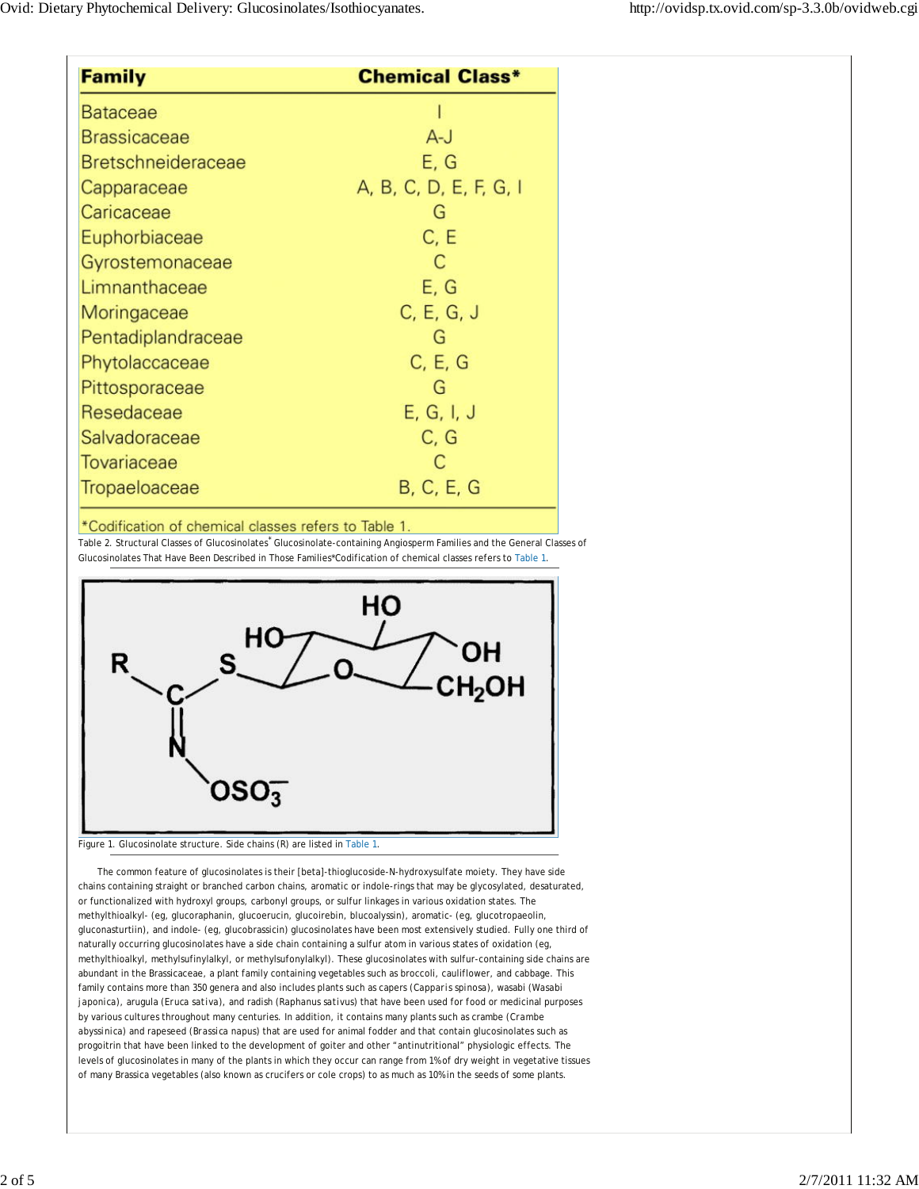| <b>Family</b>             | <b>Chemical Class*</b> |
|---------------------------|------------------------|
| <b>Bataceae</b>           |                        |
| <b>Brassicaceae</b>       | $A-J$                  |
| <b>Bretschneideraceae</b> | E, G                   |
| Capparaceae               | A, B, C, D, E, F, G, I |
| Caricaceae                | G                      |
| Euphorbiaceae             | C, E                   |
| Gyrostemonaceae           | C                      |
| Limnanthaceae             | E, G                   |
| Moringaceae               | C, E, G, J             |
| Pentadiplandraceae        | G                      |
| Phytolaccaceae            | C, E, G                |
| Pittosporaceae            | G                      |
| Resedaceae                | E, G, I, J             |
| Salvadoraceae             | C, G                   |
| <b>Tovariaceae</b>        | C                      |
| <b>Tropaeloaceae</b>      | B, C, E, G             |

\*Codification of chemical classes refers to Table 1.

Table 2. Structural Classes of Glucosinolates<sup>\*</sup> Glucosinolate-containing Angiosperm Families and the General Classes of Glucosinolates That Have Been Described in Those Families\*Codification of chemical classes refers to Table 1.



### Figure 1. Glucosinolate structure. Side chains (R) are listed in Table 1.

The common feature of glucosinolates is their [beta]-thioglucoside-*N*-hydroxysulfate moiety. They have side chains containing straight or branched carbon chains, aromatic or indole-rings that may be glycosylated, desaturated, or functionalized with hydroxyl groups, carbonyl groups, or sulfur linkages in various oxidation states. The methylthioalkyl- (eg, glucoraphanin, glucoerucin, glucoirebin, blucoalyssin), aromatic- (eg, glucotropaeolin, gluconasturtiin), and indole- (eg, glucobrassicin) glucosinolates have been most extensively studied. Fully one third of naturally occurring glucosinolates have a side chain containing a sulfur atom in various states of oxidation (eg, methylthioalkyl, methylsufinylalkyl, or methylsufonylalkyl). These glucosinolates with sulfur-containing side chains are abundant in the Brassicaceae, a plant family containing vegetables such as broccoli, cauliflower, and cabbage. This family contains more than 350 genera and also includes plants such as capers (*Capparis spinosa*), wasabi (*Wasabi japonica*), arugula (*Eruca sativa*), and radish (*Raphanus sativus*) that have been used for food or medicinal purposes by various cultures throughout many centuries. In addition, it contains many plants such as crambe (*Crambe abyssinica*) and rapeseed (*Brassica napus*) that are used for animal fodder and that contain glucosinolates such as progoitrin that have been linked to the development of goiter and other "antinutritional" physiologic effects. The levels of glucosinolates in many of the plants in which they occur can range from 1% of dry weight in vegetative tissues of many Brassica vegetables (also known as crucifers or cole crops) to as much as 10% in the seeds of some plants.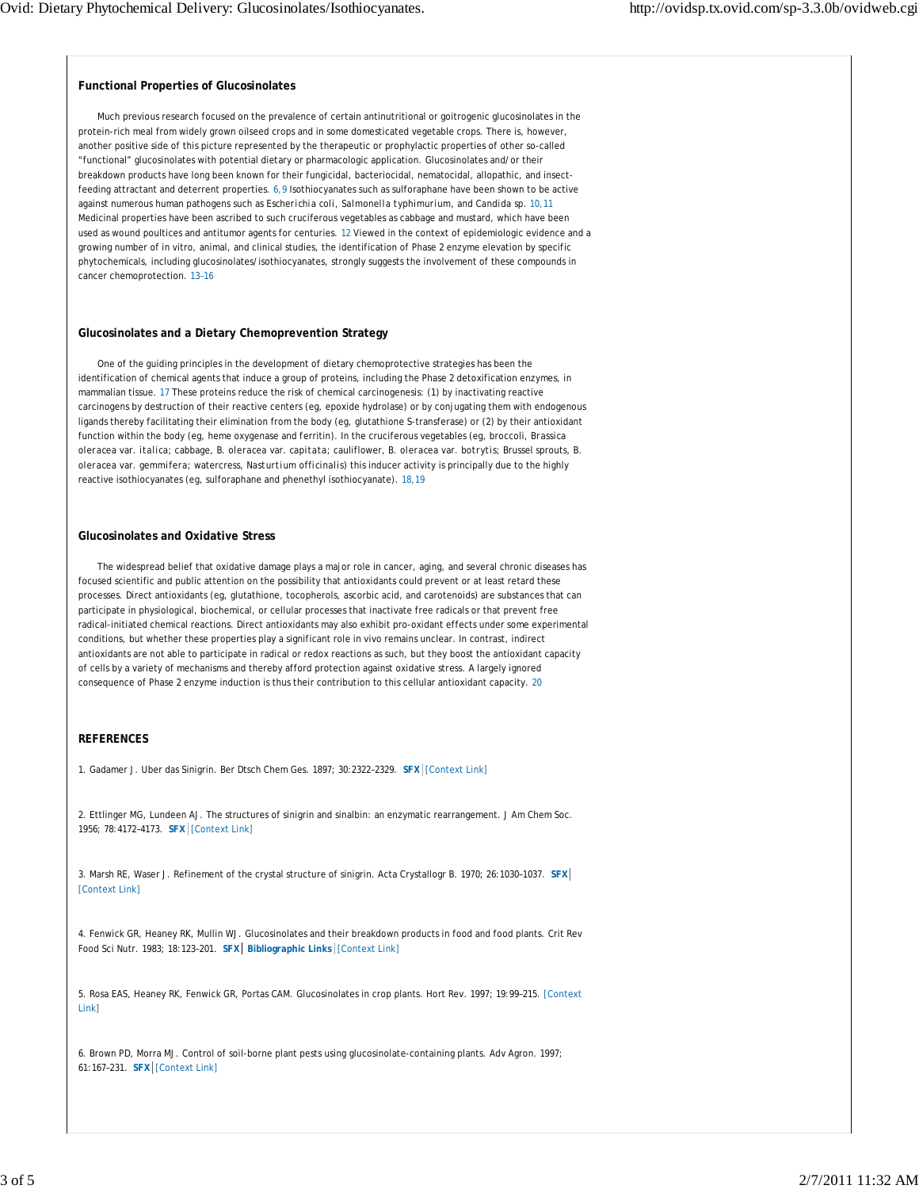#### **Functional Properties of Glucosinolates**

Much previous research focused on the prevalence of certain antinutritional or goitrogenic glucosinolates in the protein-rich meal from widely grown oilseed crops and in some domesticated vegetable crops. There is, however, another positive side of this picture represented by the therapeutic or prophylactic properties of other so-called "functional" glucosinolates with potential dietary or pharmacologic application. Glucosinolates and/or their breakdown products have long been known for their fungicidal, bacteriocidal, nematocidal, allopathic, and insectfeeding attractant and deterrent properties. 6,9 Isothiocyanates such as sulforaphane have been shown to be active against numerous human pathogens such as *Escherichia coli, Salmonella typhimurium,* and *Candida* sp. 10,11 Medicinal properties have been ascribed to such cruciferous vegetables as cabbage and mustard, which have been used as wound poultices and antitumor agents for centuries. 12 Viewed in the context of epidemiologic evidence and a growing number of in vitro, animal, and clinical studies, the identification of Phase 2 enzyme elevation by specific phytochemicals, including glucosinolates/isothiocyanates, strongly suggests the involvement of these compounds in cancer chemoprotection. 13–16

#### **Glucosinolates and a Dietary Chemoprevention Strategy**

One of the guiding principles in the development of dietary chemoprotective strategies has been the identification of chemical agents that induce a group of proteins, including the Phase 2 detoxification enzymes, in mammalian tissue. 17 These proteins reduce the risk of chemical carcinogenesis: (1) by inactivating reactive carcinogens by destruction of their reactive centers (eg, epoxide hydrolase) or by conjugating them with endogenous ligands thereby facilitating their elimination from the body (eg, glutathione *S*-transferase) or (2) by their antioxidant function within the body (eg, heme oxygenase and ferritin). In the cruciferous vegetables (eg, broccoli, *Brassica oleracea* var. *italica*; cabbage, *B. oleracea* var. *capitata;* cauliflower, *B. oleracea* var. *botrytis;* Brussel sprouts, *B. oleracea* var. *gemmifera;* watercress, *Nasturtium officinalis*) this inducer activity is principally due to the highly reactive isothiocyanates (eg, sulforaphane and phenethyl isothiocyanate). 18,19

#### **Glucosinolates and Oxidative Stress**

The widespread belief that oxidative damage plays a major role in cancer, aging, and several chronic diseases has focused scientific and public attention on the possibility that antioxidants could prevent or at least retard these processes. Direct antioxidants (eg, glutathione, tocopherols, ascorbic acid, and carotenoids) are substances that can participate in physiological, biochemical, or cellular processes that inactivate free radicals or that prevent free radical-initiated chemical reactions. Direct antioxidants may also exhibit pro-oxidant effects under some experimental conditions, but whether these properties play a significant role in vivo remains unclear. In contrast, indirect antioxidants are not able to participate in radical or redox reactions as such, but they boost the antioxidant capacity of cells by a variety of mechanisms and thereby afford protection against oxidative stress. A largely ignored consequence of Phase 2 enzyme induction is thus their contribution to this cellular antioxidant capacity. 20

#### **REFERENCES**

1. Gadamer J. Uber das Sinigrin. Ber Dtsch Chem Ges. 1897; 30:2322–2329. **SFX** [Context Link]

2. Ettlinger MG, Lundeen AJ. The structures of sinigrin and sinalbin: an enzymatic rearrangement. J Am Chem Soc. 1956; 78:4172–4173. **SFX** [Context Link]

3. Marsh RE, Waser J. Refinement of the crystal structure of sinigrin. Acta Crystallogr B. 1970; 26:1030–1037. **SFX** [Context Link]

4. Fenwick GR, Heaney RK, Mullin WJ. Glucosinolates and their breakdown products in food and food plants. Crit Rev Food Sci Nutr. 1983; 18:123–201. **SFX Bibliographic Links** [Context Link]

5. Rosa EAS, Heaney RK, Fenwick GR, Portas CAM. Glucosinolates in crop plants. Hort Rev. 1997; 19:99–215. [Context Link]

6. Brown PD, Morra MJ. Control of soil-borne plant pests using glucosinolate-containing plants. Adv Agron. 1997; 61:167–231. **SFX** [Context Link]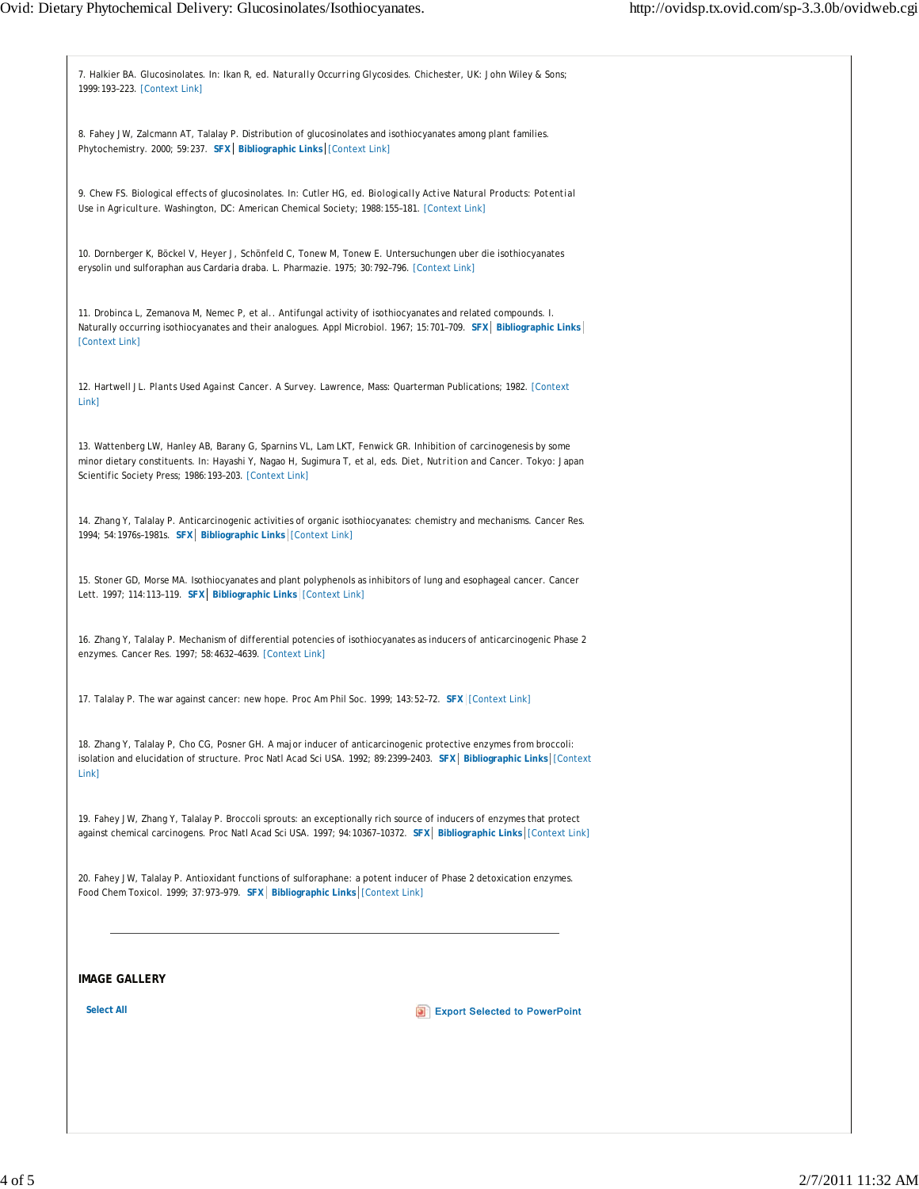